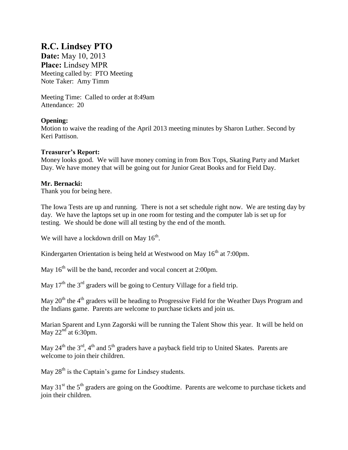# **R.C. Lindsey PTO**

**Date:** May 10, 2013 **Place:** Lindsey MPR Meeting called by: PTO Meeting Note Taker: Amy Timm

Meeting Time: Called to order at 8:49am Attendance: 20

# **Opening:**

Motion to waive the reading of the April 2013 meeting minutes by Sharon Luther. Second by Keri Pattison.

## **Treasurer's Report:**

Money looks good. We will have money coming in from Box Tops, Skating Party and Market Day. We have money that will be going out for Junior Great Books and for Field Day.

### **Mr. Bernacki:**

Thank you for being here.

The Iowa Tests are up and running. There is not a set schedule right now. We are testing day by day. We have the laptops set up in one room for testing and the computer lab is set up for testing. We should be done will all testing by the end of the month.

We will have a lockdown drill on May  $16^{th}$ .

Kindergarten Orientation is being held at Westwood on May  $16<sup>th</sup>$  at 7:00pm.

May  $16<sup>th</sup>$  will be the band, recorder and vocal concert at 2:00pm.

May  $17<sup>th</sup>$  the  $3<sup>rd</sup>$  graders will be going to Century Village for a field trip.

May  $20<sup>th</sup>$  the 4<sup>th</sup> graders will be heading to Progressive Field for the Weather Days Program and the Indians game. Parents are welcome to purchase tickets and join us.

Marian Sparent and Lynn Zagorski will be running the Talent Show this year. It will be held on May  $22^{nd}$  at 6:30pm.

May  $24^{th}$  the  $3^{rd}$ ,  $4^{th}$  and  $5^{th}$  graders have a payback field trip to United Skates. Parents are welcome to join their children.

May  $28<sup>th</sup>$  is the Captain's game for Lindsey students.

May 31<sup>st</sup> the 5<sup>th</sup> graders are going on the Goodtime. Parents are welcome to purchase tickets and join their children.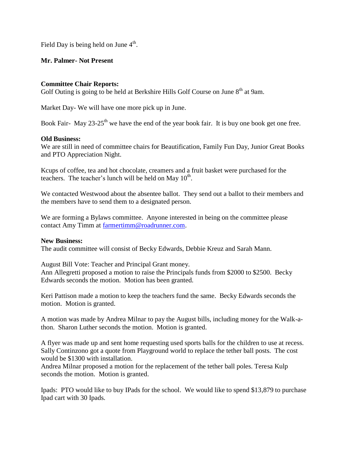Field Day is being held on June  $4^{\text{th}}$ .

### **Mr. Palmer- Not Present**

#### **Committee Chair Reports:**

Golf Outing is going to be held at Berkshire Hills Golf Course on June  $8<sup>th</sup>$  at 9am.

Market Day- We will have one more pick up in June.

Book Fair- May  $23-25$ <sup>th</sup> we have the end of the year book fair. It is buy one book get one free.

### **Old Business:**

We are still in need of committee chairs for Beautification, Family Fun Day, Junior Great Books and PTO Appreciation Night.

Kcups of coffee, tea and hot chocolate, creamers and a fruit basket were purchased for the teachers. The teacher's lunch will be held on May  $10<sup>th</sup>$ .

We contacted Westwood about the absentee ballot. They send out a ballot to their members and the members have to send them to a designated person.

We are forming a Bylaws committee. Anyone interested in being on the committee please contact Amy Timm at [farmertimm@roadrunner.com.](mailto:farmertimm@roadrunner.com)

#### **New Business:**

The audit committee will consist of Becky Edwards, Debbie Kreuz and Sarah Mann.

August Bill Vote: Teacher and Principal Grant money.

Ann Allegretti proposed a motion to raise the Principals funds from \$2000 to \$2500. Becky Edwards seconds the motion. Motion has been granted.

Keri Pattison made a motion to keep the teachers fund the same. Becky Edwards seconds the motion. Motion is granted.

A motion was made by Andrea Milnar to pay the August bills, including money for the Walk-athon. Sharon Luther seconds the motion. Motion is granted.

A flyer was made up and sent home requesting used sports balls for the children to use at recess. Sally Continzono got a quote from Playground world to replace the tether ball posts. The cost would be \$1300 with installation.

Andrea Milnar proposed a motion for the replacement of the tether ball poles. Teresa Kulp seconds the motion. Motion is granted.

Ipads: PTO would like to buy IPads for the school. We would like to spend \$13,879 to purchase Ipad cart with 30 Ipads.